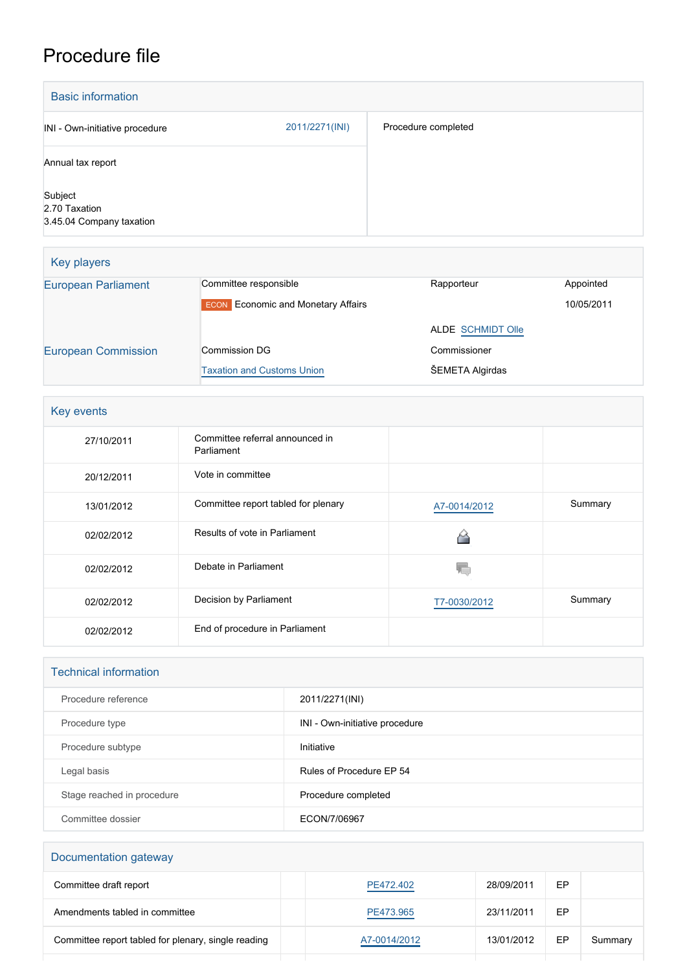## Procedure file

| <b>Basic information</b>                             |                |                     |
|------------------------------------------------------|----------------|---------------------|
| INI - Own-initiative procedure                       | 2011/2271(INI) | Procedure completed |
| Annual tax report                                    |                |                     |
| Subject<br>2.70 Taxation<br>3.45.04 Company taxation |                |                     |

| Key players                |                                           |                          |            |
|----------------------------|-------------------------------------------|--------------------------|------------|
| <b>European Parliament</b> | Committee responsible                     | Rapporteur               | Appointed  |
|                            | <b>ECON</b> Economic and Monetary Affairs |                          | 10/05/2011 |
|                            |                                           | <b>ALDE SCHMIDT Olle</b> |            |
| <b>European Commission</b> | Commission DG                             | Commissioner             |            |
|                            | <b>Taxation and Customs Union</b>         | ŠEMETA Algirdas          |            |

| Key events |                                               |              |         |  |
|------------|-----------------------------------------------|--------------|---------|--|
| 27/10/2011 | Committee referral announced in<br>Parliament |              |         |  |
| 20/12/2011 | Vote in committee                             |              |         |  |
| 13/01/2012 | Committee report tabled for plenary           | A7-0014/2012 | Summary |  |
| 02/02/2012 | Results of vote in Parliament                 |              |         |  |
| 02/02/2012 | Debate in Parliament                          |              |         |  |
| 02/02/2012 | Decision by Parliament                        | T7-0030/2012 | Summary |  |
| 02/02/2012 | End of procedure in Parliament                |              |         |  |

| <b>Technical information</b> |                                |  |  |
|------------------------------|--------------------------------|--|--|
| Procedure reference          | 2011/2271(INI)                 |  |  |
| Procedure type               | INI - Own-initiative procedure |  |  |
| Procedure subtype            | Initiative                     |  |  |
| Legal basis                  | Rules of Procedure EP 54       |  |  |
| Stage reached in procedure   | Procedure completed            |  |  |
| Committee dossier            | ECON/7/06967                   |  |  |

## Documentation gateway Committee draft report **[PE472.402](https://www.europarl.europa.eu/doceo/document/ECON-PR-472402_EN.html)** 28/09/2011 EP Amendments tabled in committee **[PE473.965](https://www.europarl.europa.eu/doceo/document/ECON-AM-473965_EN.html)** 23/11/2011 EP Committee report tabled for plenary, single reading <br>[A7-0014/2012](https://www.europarl.europa.eu/doceo/document/A-7-2012-0014_EN.html) 13/01/2012 EP Summary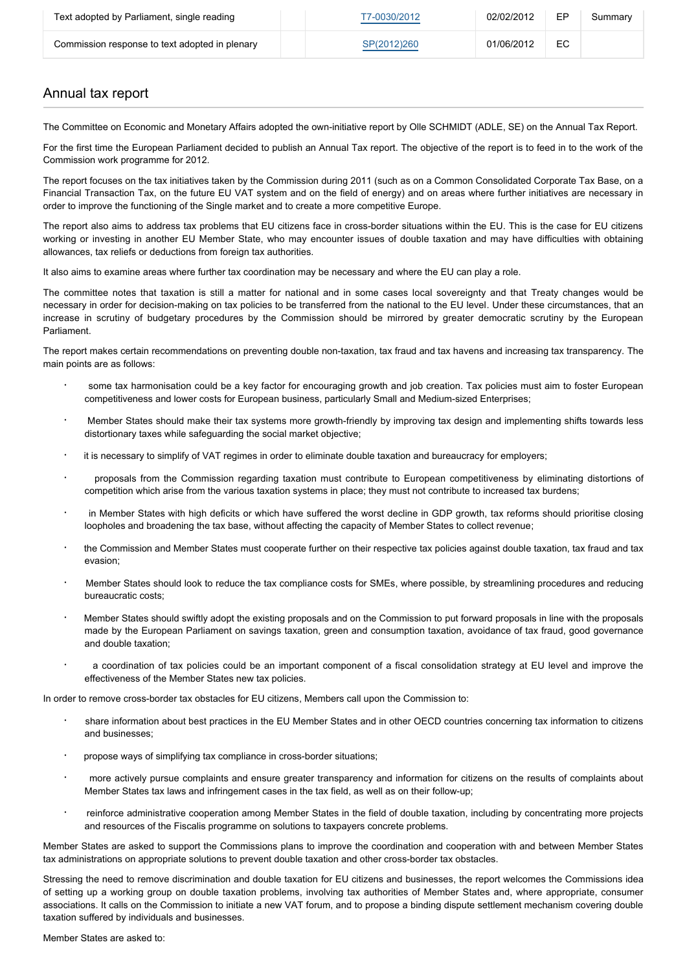| Text adopted by Parliament, single reading     | T7-0030/2012 | 02/02/2012 | <b>FP</b> | Summary |
|------------------------------------------------|--------------|------------|-----------|---------|
| Commission response to text adopted in plenary | SP(2012)260  | 01/06/2012 | EC        |         |

## Annual tax report

The Committee on Economic and Monetary Affairs adopted the own-initiative report by Olle SCHMIDT (ADLE, SE) on the Annual Tax Report.

For the first time the European Parliament decided to publish an Annual Tax report. The objective of the report is to feed in to the work of the Commission work programme for 2012.

The report focuses on the tax initiatives taken by the Commission during 2011 (such as on a Common Consolidated Corporate Tax Base, on a Financial Transaction Tax, on the future EU VAT system and on the field of energy) and on areas where further initiatives are necessary in order to improve the functioning of the Single market and to create a more competitive Europe.

The report also aims to address tax problems that EU citizens face in cross-border situations within the EU. This is the case for EU citizens working or investing in another EU Member State, who may encounter issues of double taxation and may have difficulties with obtaining allowances, tax reliefs or deductions from foreign tax authorities.

It also aims to examine areas where further tax coordination may be necessary and where the EU can play a role.

The committee notes that taxation is still a matter for national and in some cases local sovereignty and that Treaty changes would be necessary in order for decision-making on tax policies to be transferred from the national to the EU level. Under these circumstances, that an increase in scrutiny of budgetary procedures by the Commission should be mirrored by greater democratic scrutiny by the European Parliament.

The report makes certain recommendations on preventing double non-taxation, tax fraud and tax havens and increasing tax transparency. The main points are as follows:

- some tax harmonisation could be a key factor for encouraging growth and job creation. Tax policies must aim to foster European competitiveness and lower costs for European business, particularly Small and Medium-sized Enterprises;
- · Member States should make their tax systems more growth-friendly by improving tax design and implementing shifts towards less distortionary taxes while safeguarding the social market objective;
- it is necessary to simplify of VAT regimes in order to eliminate double taxation and bureaucracy for employers;
- · proposals from the Commission regarding taxation must contribute to European competitiveness by eliminating distortions of competition which arise from the various taxation systems in place; they must not contribute to increased tax burdens;
- in Member States with high deficits or which have suffered the worst decline in GDP growth, tax reforms should prioritise closing loopholes and broadening the tax base, without affecting the capacity of Member States to collect revenue;
- the Commission and Member States must cooperate further on their respective tax policies against double taxation, tax fraud and tax evasion;
- · Member States should look to reduce the tax compliance costs for SMEs, where possible, by streamlining procedures and reducing bureaucratic costs;
- · Member States should swiftly adopt the existing proposals and on the Commission to put forward proposals in line with the proposals made by the European Parliament on savings taxation, green and consumption taxation, avoidance of tax fraud, good governance and double taxation;
- · a coordination of tax policies could be an important component of a fiscal consolidation strategy at EU level and improve the effectiveness of the Member States new tax policies.

In order to remove cross-border tax obstacles for EU citizens, Members call upon the Commission to:

- share information about best practices in the EU Member States and in other OECD countries concerning tax information to citizens and businesses;
- propose ways of simplifying tax compliance in cross-border situations;
- more actively pursue complaints and ensure greater transparency and information for citizens on the results of complaints about Member States tax laws and infringement cases in the tax field, as well as on their follow-up;
- reinforce administrative cooperation among Member States in the field of double taxation, including by concentrating more projects and resources of the Fiscalis programme on solutions to taxpayers concrete problems.

Member States are asked to support the Commissions plans to improve the coordination and cooperation with and between Member States tax administrations on appropriate solutions to prevent double taxation and other cross-border tax obstacles.

Stressing the need to remove discrimination and double taxation for EU citizens and businesses, the report welcomes the Commissions idea of setting up a working group on double taxation problems, involving tax authorities of Member States and, where appropriate, consumer associations. It calls on the Commission to initiate a new VAT forum, and to propose a binding dispute settlement mechanism covering double taxation suffered by individuals and businesses.

Member States are asked to: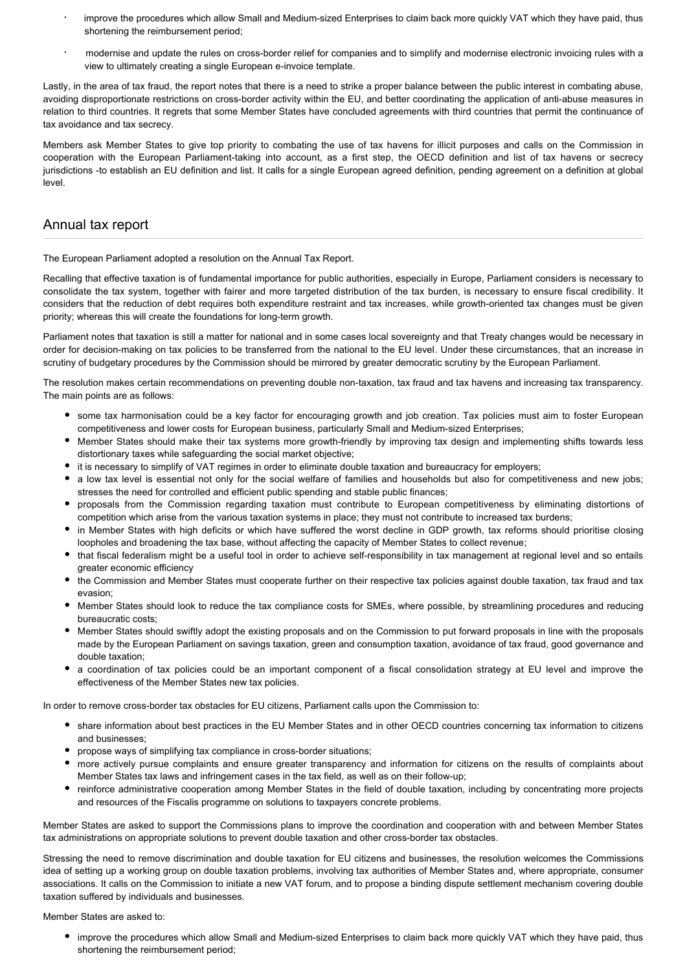- improve the procedures which allow Small and Medium-sized Enterprises to claim back more quickly VAT which they have paid, thus shortening the reimbursement period;
- modernise and update the rules on cross-border relief for companies and to simplify and modernise electronic invoicing rules with a view to ultimately creating a single European e-invoice template.

Lastly, in the area of tax fraud, the report notes that there is a need to strike a proper balance between the public interest in combating abuse, avoiding disproportionate restrictions on cross-border activity within the EU, and better coordinating the application of anti-abuse measures in relation to third countries. It regrets that some Member States have concluded agreements with third countries that permit the continuance of tax avoidance and tax secrecy.

Members ask Member States to give top priority to combating the use of tax havens for illicit purposes and calls on the Commission in cooperation with the European Parliament-taking into account, as a first step, the OECD definition and list of tax havens or secrecy jurisdictions -to establish an EU definition and list. It calls for a single European agreed definition, pending agreement on a definition at global level.

## Annual tax report

The European Parliament adopted a resolution on the Annual Tax Report.

Recalling that effective taxation is of fundamental importance for public authorities, especially in Europe, Parliament considers is necessary to consolidate the tax system, together with fairer and more targeted distribution of the tax burden, is necessary to ensure fiscal credibility. It considers that the reduction of debt requires both expenditure restraint and tax increases, while growth-oriented tax changes must be given priority; whereas this will create the foundations for long-term growth.

Parliament notes that taxation is still a matter for national and in some cases local sovereignty and that Treaty changes would be necessary in order for decision-making on tax policies to be transferred from the national to the EU level. Under these circumstances, that an increase in scrutiny of budgetary procedures by the Commission should be mirrored by greater democratic scrutiny by the European Parliament.

The resolution makes certain recommendations on preventing double non-taxation, tax fraud and tax havens and increasing tax transparency. The main points are as follows:

- some tax harmonisation could be a key factor for encouraging growth and job creation. Tax policies must aim to foster European competitiveness and lower costs for European business, particularly Small and Medium-sized Enterprises;
- Member States should make their tax systems more growth-friendly by improving tax design and implementing shifts towards less distortionary taxes while safeguarding the social market objective;
- it is necessary to simplify of VAT regimes in order to eliminate double taxation and bureaucracy for employers;
- a low tax level is essential not only for the social welfare of families and households but also for competitiveness and new iobs: stresses the need for controlled and efficient public spending and stable public finances;
- proposals from the Commission regarding taxation must contribute to European competitiveness by eliminating distortions of competition which arise from the various taxation systems in place; they must not contribute to increased tax burdens;
- in Member States with high deficits or which have suffered the worst decline in GDP growth, tax reforms should prioritise closing loopholes and broadening the tax base, without affecting the capacity of Member States to collect revenue;
- that fiscal federalism might be a useful tool in order to achieve self-responsibility in tax management at regional level and so entails greater economic efficiency
- the Commission and Member States must cooperate further on their respective tax policies against double taxation, tax fraud and tax evasion;
- Member States should look to reduce the tax compliance costs for SMEs, where possible, by streamlining procedures and reducing bureaucratic costs;
- Member States should swiftly adopt the existing proposals and on the Commission to put forward proposals in line with the proposals made by the European Parliament on savings taxation, green and consumption taxation, avoidance of tax fraud, good governance and double taxation;
- a coordination of tax policies could be an important component of a fiscal consolidation strategy at EU level and improve the effectiveness of the Member States new tax policies.

In order to remove cross-border tax obstacles for EU citizens, Parliament calls upon the Commission to:

- share information about best practices in the EU Member States and in other OECD countries concerning tax information to citizens and businesses;
- propose ways of simplifying tax compliance in cross-border situations;
- more actively pursue complaints and ensure greater transparency and information for citizens on the results of complaints about Member States tax laws and infringement cases in the tax field, as well as on their follow-up;
- reinforce administrative cooperation among Member States in the field of double taxation, including by concentrating more projects and resources of the Fiscalis programme on solutions to taxpayers concrete problems.

Member States are asked to support the Commissions plans to improve the coordination and cooperation with and between Member States tax administrations on appropriate solutions to prevent double taxation and other cross-border tax obstacles.

Stressing the need to remove discrimination and double taxation for EU citizens and businesses, the resolution welcomes the Commissions idea of setting up a working group on double taxation problems, involving tax authorities of Member States and, where appropriate, consumer associations. It calls on the Commission to initiate a new VAT forum, and to propose a binding dispute settlement mechanism covering double taxation suffered by individuals and businesses.

Member States are asked to:

improve the procedures which allow Small and Medium-sized Enterprises to claim back more quickly VAT which they have paid, thus shortening the reimbursement period;